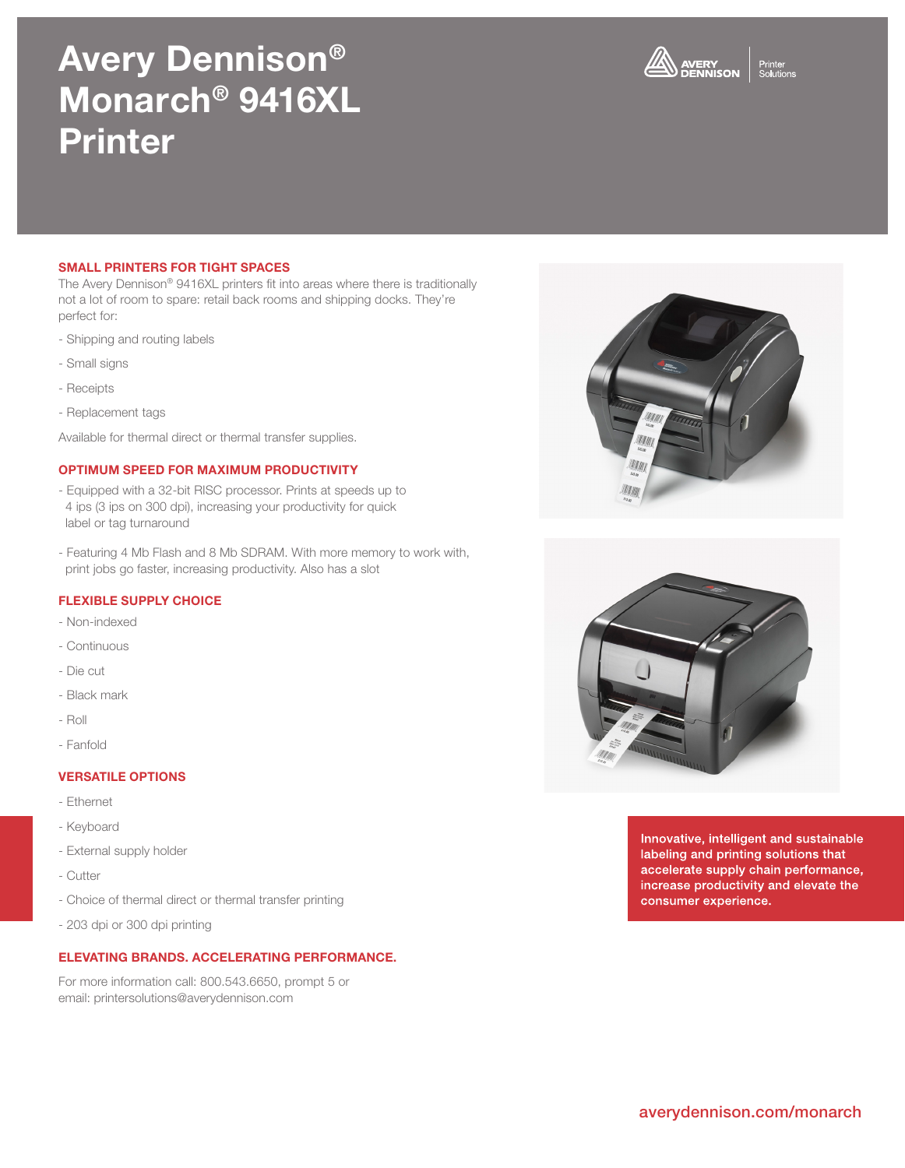## averydennison.com/monarch

# Avery Dennison® Monarch® 9416XL Printer

## SMALL PRINTERS FOR TIGHT SPACES

The Avery Dennison® 9416XL printers fit into areas where there is traditionally not a lot of room to spare: retail back rooms and shipping docks. They're perfect for:

- Shipping and routing labels
- Small signs
- Receipts
- Replacement tags

Available for thermal direct or thermal transfer supplies.

### OPTIMUM SPEED FOR MAXIMUM PRODUCTIVITY

- Equipped with a 32-bit RISC processor. Prints at speeds up to 4 ips (3 ips on 300 dpi), increasing your productivity for quick label or tag turnaround
- Featuring 4 Mb Flash and 8 Mb SDRAM. With more memory to work with, print jobs go faster, increasing productivity. Also has a slot

## FLEXIBLE SUPPLY CHOICE

- Non-indexed
- Continuous
- Die cut
- Black mark
- Roll
- Fanfold

## VERSATILE OPTIONS

- Ethernet
- Keyboard
- External supply holder
- Cutter
- Choice of thermal direct or thermal transfer printing
- 203 dpi or 300 dpi printing

## ELEVATING BRANDS. ACCELERATING PERFORMANCE.

For more information call: 800.543.6650, prompt 5 or email: printersolutions@averydennison.com

Innovative, intelligent and sustainable labeling and printing solutions that accelerate supply chain performance, increase productivity and elevate the





consumer experience.